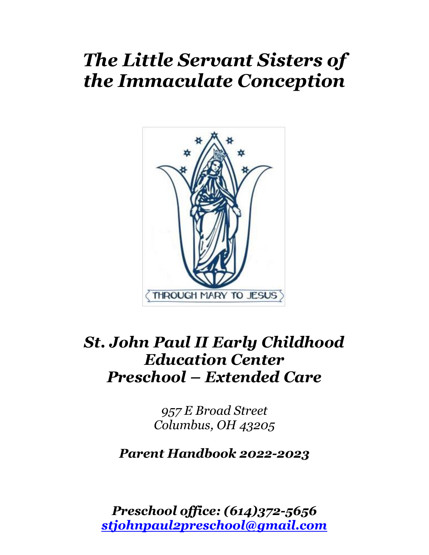# *The Little Servant Sisters of the Immaculate Conception*



## *St. John Paul II Early Childhood Education Center Preschool – Extended Care*

*957 E Broad Street Columbus, OH 43205*

*Parent Handbook 2022-2023*

*Preschool office: (614)372-5656 [stjohnpaul2preschool@gmail.com](mailto:stjohnpaul2preschool@gmail.com)*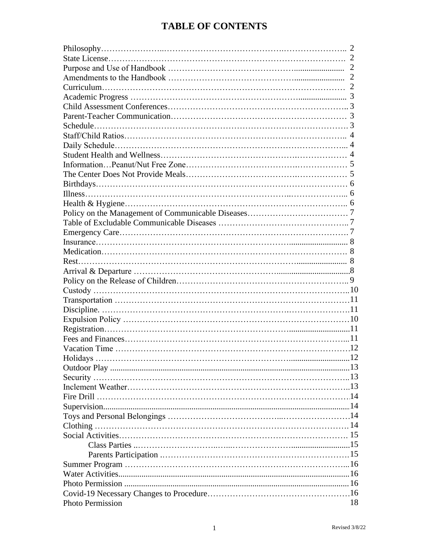## **TABLE OF CONTENTS**

| <b>Photo Permission</b> | 18 |
|-------------------------|----|
|                         |    |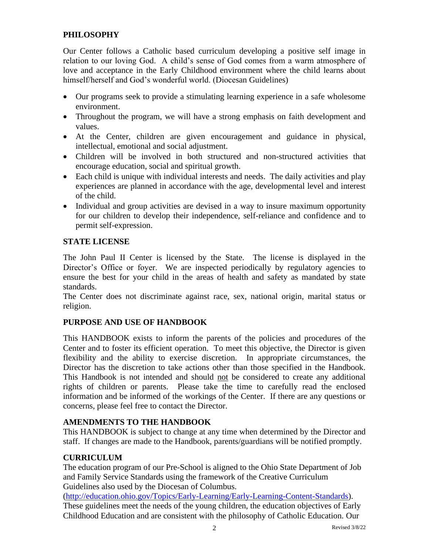#### **PHILOSOPHY**

Our Center follows a Catholic based curriculum developing a positive self image in relation to our loving God. A child's sense of God comes from a warm atmosphere of love and acceptance in the Early Childhood environment where the child learns about himself/herself and God's wonderful world. (Diocesan Guidelines)

- Our programs seek to provide a stimulating learning experience in a safe wholesome environment.
- Throughout the program, we will have a strong emphasis on faith development and values.
- At the Center, children are given encouragement and guidance in physical, intellectual, emotional and social adjustment.
- Children will be involved in both structured and non-structured activities that encourage education, social and spiritual growth.
- Each child is unique with individual interests and needs. The daily activities and play experiences are planned in accordance with the age, developmental level and interest of the child.
- Individual and group activities are devised in a way to insure maximum opportunity for our children to develop their independence, self-reliance and confidence and to permit self-expression.

#### **STATE LICENSE**

The John Paul II Center is licensed by the State. The license is displayed in the Director's Office or foyer. We are inspected periodically by regulatory agencies to ensure the best for your child in the areas of health and safety as mandated by state standards.

The Center does not discriminate against race, sex, national origin, marital status or religion.

#### **PURPOSE AND USE OF HANDBOOK**

This HANDBOOK exists to inform the parents of the policies and procedures of the Center and to foster its efficient operation. To meet this objective, the Director is given flexibility and the ability to exercise discretion. In appropriate circumstances, the Director has the discretion to take actions other than those specified in the Handbook. This Handbook is not intended and should not be considered to create any additional rights of children or parents. Please take the time to carefully read the enclosed information and be informed of the workings of the Center. If there are any questions or concerns, please feel free to contact the Director.

#### **AMENDMENTS TO THE HANDBOOK**

This HANDBOOK is subject to change at any time when determined by the Director and staff. If changes are made to the Handbook, parents/guardians will be notified promptly.

#### **CURRICULUM**

The education program of our Pre-School is aligned to the Ohio State Department of Job and Family Service Standards using the framework of the Creative Curriculum Guidelines also used by the Diocesan of Columbus.

[\(http://education.ohio.gov/Topics/Early-Learning/Early-Learning-Content-Standards\)](http://education.ohio.gov/Topics/Early-Learning/Early-Learning-Content-Standards). These guidelines meet the needs of the young children, the education objectives of Early Childhood Education and are consistent with the philosophy of Catholic Education. Our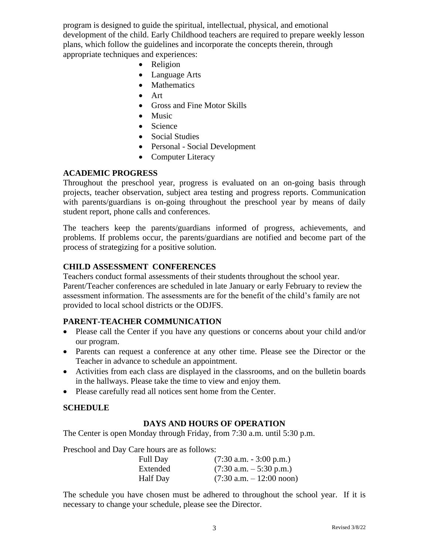program is designed to guide the spiritual, intellectual, physical, and emotional development of the child. Early Childhood teachers are required to prepare weekly lesson plans, which follow the guidelines and incorporate the concepts therein, through appropriate techniques and experiences:

- Religion
- Language Arts
- Mathematics
- Art
- Gross and Fine Motor Skills
- Music
- Science
- Social Studies
- Personal Social Development
- Computer Literacy

#### **ACADEMIC PROGRESS**

Throughout the preschool year, progress is evaluated on an on-going basis through projects, teacher observation, subject area testing and progress reports. Communication with parents/guardians is on-going throughout the preschool year by means of daily student report, phone calls and conferences.

The teachers keep the parents/guardians informed of progress, achievements, and problems. If problems occur, the parents/guardians are notified and become part of the process of strategizing for a positive solution.

#### **CHILD ASSESSMENT CONFERENCES**

Teachers conduct formal assessments of their students throughout the school year. Parent/Teacher conferences are scheduled in late January or early February to review the assessment information. The assessments are for the benefit of the child's family are not provided to local school districts or the ODJFS.

#### **PARENT-TEACHER COMMUNICATION**

- Please call the Center if you have any questions or concerns about your child and/or our program.
- Parents can request a conference at any other time. Please see the Director or the Teacher in advance to schedule an appointment.
- Activities from each class are displayed in the classrooms, and on the bulletin boards in the hallways. Please take the time to view and enjoy them.
- Please carefully read all notices sent home from the Center.

#### **SCHEDULE**

#### **DAYS AND HOURS OF OPERATION**

The Center is open Monday through Friday, from 7:30 a.m. until 5:30 p.m.

Preschool and Day Care hours are as follows:

| <b>Full Day</b> | $(7:30$ a.m. $-3:00$ p.m.)  |
|-----------------|-----------------------------|
| Extended        | $(7:30$ a.m. $-5:30$ p.m.)  |
| Half Day        | $(7:30$ a.m. $-12:00$ noon) |

The schedule you have chosen must be adhered to throughout the school year. If it is necessary to change your schedule, please see the Director.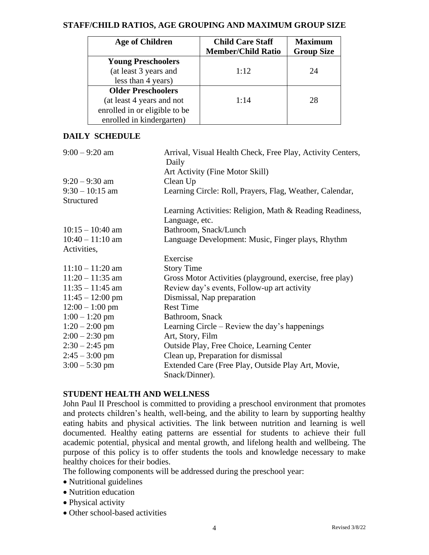#### **STAFF/CHILD RATIOS, AGE GROUPING AND MAXIMUM GROUP SIZE**

| <b>Age of Children</b>        | <b>Child Care Staff</b>   | <b>Maximum</b>    |
|-------------------------------|---------------------------|-------------------|
|                               | <b>Member/Child Ratio</b> | <b>Group Size</b> |
| <b>Young Preschoolers</b>     |                           |                   |
| (at least 3 years and         | 1:12                      | 24                |
| less than 4 years)            |                           |                   |
| <b>Older Preschoolers</b>     |                           |                   |
| (at least 4 years and not     | 1:14                      | 28                |
| enrolled in or eligible to be |                           |                   |
| enrolled in kindergarten)     |                           |                   |

#### **DAILY SCHEDULE**

| $9:00 - 9:20$ am   | Arrival, Visual Health Check, Free Play, Activity Centers, |
|--------------------|------------------------------------------------------------|
|                    | Daily<br>Art Activity (Fine Motor Skill)                   |
|                    |                                                            |
| $9:20 - 9:30$ am   | Clean Up                                                   |
| $9:30 - 10:15$ am  | Learning Circle: Roll, Prayers, Flag, Weather, Calendar,   |
| Structured         |                                                            |
|                    | Learning Activities: Religion, Math & Reading Readiness,   |
|                    | Language, etc.                                             |
| $10:15 - 10:40$ am | Bathroom, Snack/Lunch                                      |
| $10:40 - 11:10$ am | Language Development: Music, Finger plays, Rhythm          |
| Activities,        |                                                            |
|                    | Exercise                                                   |
| $11:10 - 11:20$ am | <b>Story Time</b>                                          |
| $11:20 - 11:35$ am | Gross Motor Activities (playground, exercise, free play)   |
| $11:35 - 11:45$ am | Review day's events, Follow-up art activity                |
| $11:45 - 12:00$ pm | Dismissal, Nap preparation                                 |
| $12:00 - 1:00$ pm  | <b>Rest Time</b>                                           |
| $1:00 - 1:20$ pm   | Bathroom, Snack                                            |
| $1:20 - 2:00$ pm   | Learning Circle – Review the day's happenings              |
| $2:00 - 2:30$ pm   | Art, Story, Film                                           |
| $2:30 - 2:45$ pm   | Outside Play, Free Choice, Learning Center                 |
| $2:45 - 3:00$ pm   | Clean up, Preparation for dismissal                        |
| $3:00 - 5:30$ pm   | Extended Care (Free Play, Outside Play Art, Movie,         |
|                    | Snack/Dinner).                                             |

#### **STUDENT HEALTH AND WELLNESS**

John Paul II Preschool is committed to providing a preschool environment that promotes and protects children's health, well-being, and the ability to learn by supporting healthy eating habits and physical activities. The link between nutrition and learning is well documented. Healthy eating patterns are essential for students to achieve their full academic potential, physical and mental growth, and lifelong health and wellbeing. The purpose of this policy is to offer students the tools and knowledge necessary to make healthy choices for their bodies.

The following components will be addressed during the preschool year:

- Nutritional guidelines
- Nutrition education
- Physical activity
- Other school-based activities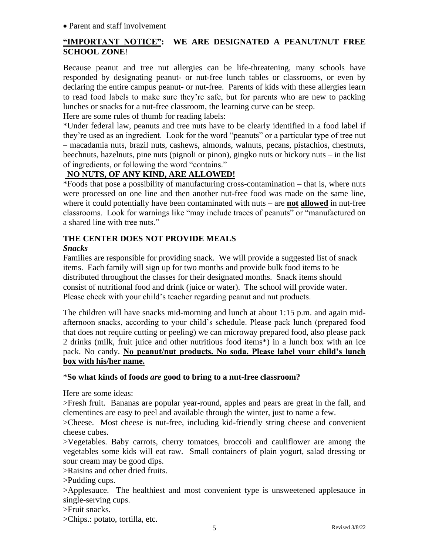#### • Parent and staff involvement

#### **"IMPORTANT NOTICE": WE ARE DESIGNATED A PEANUT/NUT FREE SCHOOL ZONE**!

Because peanut and tree nut allergies can be life-threatening, many schools have responded by designating peanut- or nut-free lunch tables or classrooms, or even by declaring the entire campus peanut- or nut-free. Parents of kids with these allergies learn to read food labels to make sure they're safe, but for parents who are new to packing lunches or snacks for a nut-free classroom, the learning curve can be steep.

Here are some rules of thumb for reading labels:

\*Under federal law, peanuts and tree nuts have to be clearly identified in a food label if they're used as an ingredient. Look for the word "peanuts" or a particular type of tree nut – macadamia nuts, brazil nuts, cashews, almonds, walnuts, pecans, pistachios, chestnuts, beechnuts, hazelnuts, pine nuts (pignoli or pinon), gingko nuts or hickory nuts – in the list of ingredients, or following the word "contains."

#### **NO NUTS, OF ANY KIND, ARE ALLOWED!**

\*Foods that pose a possibility of manufacturing cross-contamination – that is, where nuts were processed on one line and then another nut-free food was made on the same line, where it could potentially have been contaminated with nuts – are **not allowed** in nut-free classrooms. Look for warnings like "may include traces of peanuts" or "manufactured on a shared line with tree nuts."

#### **THE CENTER DOES NOT PROVIDE MEALS**

#### *Snacks*

Families are responsible for providing snack. We will provide a suggested list of snack items. Each family will sign up for two months and provide bulk food items to be distributed throughout the classes for their designated months. Snack items should consist of nutritional food and drink (juice or water). The school will provide water. Please check with your child's teacher regarding peanut and nut products.

The children will have snacks mid-morning and lunch at about 1:15 p.m. and again midafternoon snacks, according to your child's schedule. Please pack lunch (prepared food that does not require cutting or peeling) we can microway prepared food, also please pack 2 drinks (milk, fruit juice and other nutritious food items\*) in a lunch box with an ice pack. No candy. **No peanut/nut products. No soda. Please label your child's lunch box with his/her name.**

#### \***So what kinds of foods** *are* **good to bring to a nut-free classroom?**

Here are some ideas:

>Fresh fruit. Bananas are popular year-round, apples and pears are great in the fall, and clementines are easy to peel and available through the winter, just to name a few.

>Cheese. Most cheese is nut-free, including kid-friendly string cheese and convenient cheese cubes.

>Vegetables. Baby carrots, cherry tomatoes, broccoli and cauliflower are among the vegetables some kids will eat raw. Small containers of plain yogurt, salad dressing or sour cream may be good dips.

>Raisins and other dried fruits.

>Pudding cups.

>Applesauce. The healthiest and most convenient type is unsweetened applesauce in single-serving cups.

>Fruit snacks.

>Chips.: potato, tortilla, etc.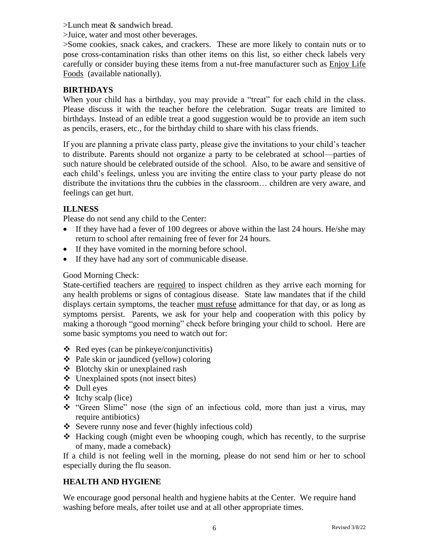>Lunch meat & sandwich bread.

>Juice, water and most other beverages.

>Some cookies, snack cakes, and crackers. These are more likely to contain nuts or to pose cross-contamination risks than other items on this list, so either check labels very carefully or consider buying these items from a nut-free manufacturer such as Enjoy Life Foods (available nationally).

#### **BIRTHDAYS**

When your child has a birthday, you may provide a "treat" for each child in the class. Please discuss it with the teacher before the celebration. Sugar treats are limited to birthdays. Instead of an edible treat a good suggestion would be to provide an item such as pencils, erasers, etc., for the birthday child to share with his class friends.

If you are planning a private class party, please give the invitations to your child's teacher to distribute. Parents should not organize a party to be celebrated at school—parties of such nature should be celebrated outside of the school. Also, to be aware and sensitive of each child's feelings, unless you are inviting the entire class to your party please do not distribute the invitations thru the cubbies in the classroom… children are very aware, and feelings can get hurt.

#### **ILLNESS**

Please do not send any child to the Center:

- If they have had a fever of 100 degrees or above within the last 24 hours. He/she may return to school after remaining free of fever for 24 hours.
- If they have vomited in the morning before school.
- If they have had any sort of communicable disease.

#### Good Morning Check:

State-certified teachers are required to inspect children as they arrive each morning for any health problems or signs of contagious disease. State law mandates that if the child displays certain symptoms, the teacher must refuse admittance for that day, or as long as symptoms persist. Parents, we ask for your help and cooperation with this policy by making a thorough "good morning" check before bringing your child to school. Here are some basic symptoms you need to watch out for:

- $\triangleleft$  Red eyes (can be pinkeye/conjunctivitis)
- ❖ Pale skin or jaundiced (yellow) coloring
- ❖ Blotchy skin or unexplained rash
- ❖ Unexplained spots (not insect bites)
- ❖ Dull eyes
- $\div$  Itchy scalp (lice)
- ❖ "Green Slime" nose (the sign of an infectious cold, more than just a virus, may require antibiotics)
- ❖ Severe runny nose and fever (highly infectious cold)
- ❖ Hacking cough (might even be whooping cough, which has recently, to the surprise of many, made a comeback)

If a child is not feeling well in the morning, please do not send him or her to school especially during the flu season.

#### **HEALTH AND HYGIENE**

We encourage good personal health and hygiene habits at the Center. We require hand washing before meals, after toilet use and at all other appropriate times.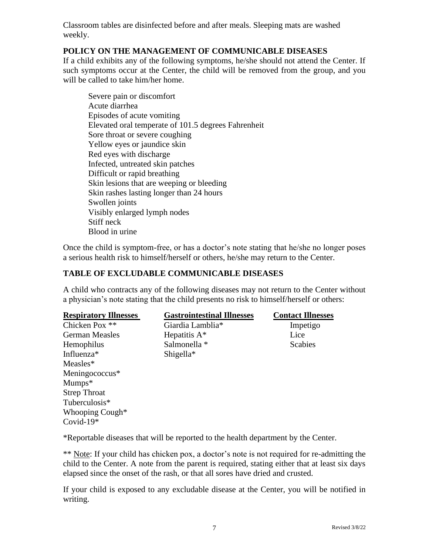Classroom tables are disinfected before and after meals. Sleeping mats are washed weekly.

#### **POLICY ON THE MANAGEMENT OF COMMUNICABLE DISEASES**

If a child exhibits any of the following symptoms, he/she should not attend the Center. If such symptoms occur at the Center, the child will be removed from the group, and you will be called to take him/her home.

Severe pain or discomfort Acute diarrhea Episodes of acute vomiting Elevated oral temperate of 101.5 degrees Fahrenheit Sore throat or severe coughing Yellow eyes or jaundice skin Red eyes with discharge Infected, untreated skin patches Difficult or rapid breathing Skin lesions that are weeping or bleeding Skin rashes lasting longer than 24 hours Swollen joints Visibly enlarged lymph nodes Stiff neck Blood in urine

Once the child is symptom-free, or has a doctor's note stating that he/she no longer poses a serious health risk to himself/herself or others, he/she may return to the Center.

#### **TABLE OF EXCLUDABLE COMMUNICABLE DISEASES**

A child who contracts any of the following diseases may not return to the Center without a physician's note stating that the child presents no risk to himself/herself or others:

| <b>Respiratory Illnesses</b> | <b>Gastrointestinal Illnesses</b> | <b>Contact Illnesses</b> |
|------------------------------|-----------------------------------|--------------------------|
| Chicken Pox **               | Giardia Lamblia*                  | Impetigo                 |
| <b>German Measles</b>        | Hepatitis $A^*$                   | Lice                     |
| Hemophilus                   | Salmonella *                      | <b>Scabies</b>           |
| Influenza <sup>*</sup>       | $Shigella*$                       |                          |
| Measles*                     |                                   |                          |
| Meningococcus*               |                                   |                          |
| $Mumps*$                     |                                   |                          |
| <b>Strep Throat</b>          |                                   |                          |
| Tuberculosis*                |                                   |                          |
| Whooping Cough*              |                                   |                          |
| Covid- $19*$                 |                                   |                          |

\*Reportable diseases that will be reported to the health department by the Center.

\*\* Note: If your child has chicken pox, a doctor's note is not required for re-admitting the child to the Center. A note from the parent is required, stating either that at least six days elapsed since the onset of the rash, or that all sores have dried and crusted.

If your child is exposed to any excludable disease at the Center, you will be notified in writing.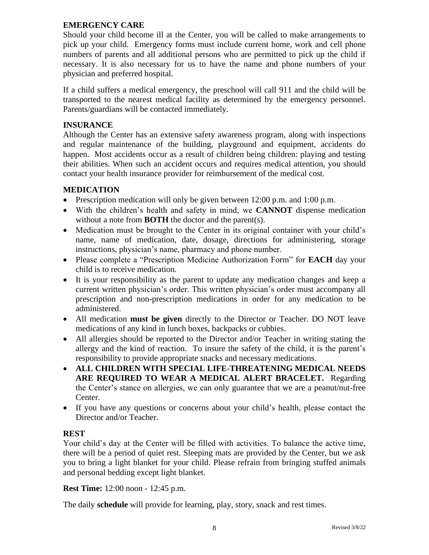#### **EMERGENCY CARE**

Should your child become ill at the Center, you will be called to make arrangements to pick up your child. Emergency forms must include current home, work and cell phone numbers of parents and all additional persons who are permitted to pick up the child if necessary. It is also necessary for us to have the name and phone numbers of your physician and preferred hospital.

If a child suffers a medical emergency, the preschool will call 911 and the child will be transported to the nearest medical facility as determined by the emergency personnel. Parents/guardians will be contacted immediately.

#### **INSURANCE**

Although the Center has an extensive safety awareness program, along with inspections and regular maintenance of the building, playground and equipment, accidents do happen. Most accidents occur as a result of children being children: playing and testing their abilities. When such an accident occurs and requires medical attention, you should contact your health insurance provider for reimbursement of the medical cost.

#### **MEDICATION**

- Prescription medication will only be given between 12:00 p.m. and 1:00 p.m.
- With the children's health and safety in mind, we **CANNOT** dispense medication without a note from **BOTH** the doctor and the parent(s).
- Medication must be brought to the Center in its original container with your child's name, name of medication, date, dosage, directions for administering, storage instructions, physician's name, pharmacy and phone number.
- Please complete a "Prescription Medicine Authorization Form" for **EACH** day your child is to receive medication.
- It is your responsibility as the parent to update any medication changes and keep a current written physician's order. This written physician's order must accompany all prescription and non-prescription medications in order for any medication to be administered.
- All medication **must be given** directly to the Director or Teacher. DO NOT leave medications of any kind in lunch boxes, backpacks or cubbies.
- All allergies should be reported to the Director and/or Teacher in writing stating the allergy and the kind of reaction. To insure the safety of the child, it is the parent's responsibility to provide appropriate snacks and necessary medications.
- **ALL CHILDREN WITH SPECIAL LIFE-THREATENING MEDICAL NEEDS ARE REQUIRED TO WEAR A MEDICAL ALERT BRACELET.** Regarding the Center's stance on allergies, we can only guarantee that we are a peanut/nut-free Center.
- If you have any questions or concerns about your child's health, please contact the Director and/or Teacher.

#### **REST**

Your child's day at the Center will be filled with activities. To balance the active time, there will be a period of quiet rest. Sleeping mats are provided by the Center, but we ask you to bring a light blanket for your child. Please refrain from bringing stuffed animals and personal bedding except light blanket.

**Rest Time:** 12:00 noon - 12:45 p.m.

The daily **schedule** will provide for learning, play, story, snack and rest times.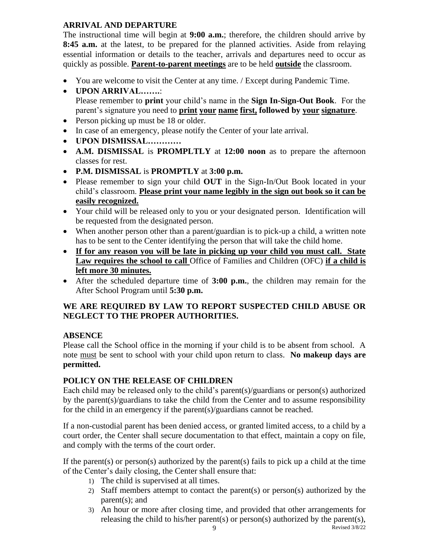#### **ARRIVAL AND DEPARTURE**

The instructional time will begin at **9:00 a.m.**; therefore, the children should arrive by **8:45 a.m.** at the latest, to be prepared for the planned activities. Aside from relaying essential information or details to the teacher, arrivals and departures need to occur as quickly as possible. **Parent-to-parent meetings** are to be held **outside** the classroom.

- You are welcome to visit the Center at any time. / Except during Pandemic Time.
- **UPON ARRIVAL…….**: Please remember to **print** your child's name in the **Sign In-Sign-Out Book**. For the parent's signature you need to **print your name first, followed by your signature**.
- Person picking up must be 18 or older.
- In case of an emergency, please notify the Center of your late arrival.
- **UPON DISMISSAL…………**
- **A.M. DISMISSAL** is **PROMPLTLY** at **12:00 noon** as to prepare the afternoon classes for rest.
- **P.M. DISMISSAL** is **PROMPTLY** at **3:00 p.m.**
- Please remember to sign your child **OUT** in the Sign-In/Out Book located in your child's classroom. **Please print your name legibly in the sign out book so it can be easily recognized.**
- Your child will be released only to you or your designated person. Identification will be requested from the designated person.
- When another person other than a parent/guardian is to pick-up a child, a written note has to be sent to the Center identifying the person that will take the child home.
- **If for any reason you will be late in picking up your child you must call. State**  Law requires the school to call Office of Families and Children (OFC) if a child is **left more 30 minutes.**
- After the scheduled departure time of **3:00 p.m.**, the children may remain for the After School Program until **5:30 p.m.**

#### **WE ARE REQUIRED BY LAW TO REPORT SUSPECTED CHILD ABUSE OR NEGLECT TO THE PROPER AUTHORITIES.**

#### **ABSENCE**

Please call the School office in the morning if your child is to be absent from school. A note must be sent to school with your child upon return to class. **No makeup days are permitted.**

#### **POLICY ON THE RELEASE OF CHILDREN**

Each child may be released only to the child's parent(s)/guardians or person(s) authorized by the parent(s)/guardians to take the child from the Center and to assume responsibility for the child in an emergency if the parent(s)/guardians cannot be reached.

If a non-custodial parent has been denied access, or granted limited access, to a child by a court order, the Center shall secure documentation to that effect, maintain a copy on file, and comply with the terms of the court order.

If the parent(s) or person(s) authorized by the parent(s) fails to pick up a child at the time of the Center's daily closing, the Center shall ensure that:

- 1) The child is supervised at all times.
- 2) Staff members attempt to contact the parent(s) or person(s) authorized by the parent(s); and
- 3) An hour or more after closing time, and provided that other arrangements for releasing the child to his/her parent(s) or person(s) authorized by the parent(s),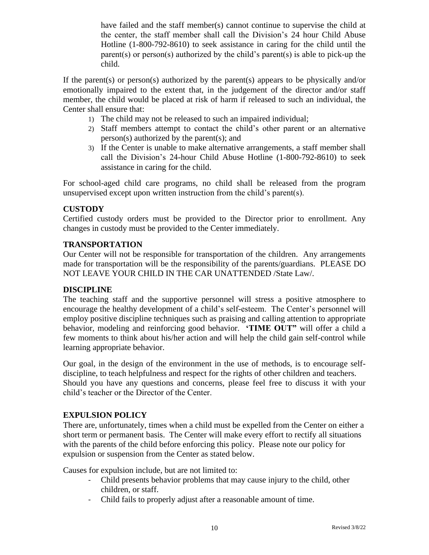have failed and the staff member(s) cannot continue to supervise the child at the center, the staff member shall call the Division's 24 hour Child Abuse Hotline (1-800-792-8610) to seek assistance in caring for the child until the parent(s) or person(s) authorized by the child's parent(s) is able to pick-up the child.

If the parent(s) or person(s) authorized by the parent(s) appears to be physically and/or emotionally impaired to the extent that, in the judgement of the director and/or staff member, the child would be placed at risk of harm if released to such an individual, the Center shall ensure that:

- 1) The child may not be released to such an impaired individual;
- 2) Staff members attempt to contact the child's other parent or an alternative person(s) authorized by the parent(s); and
- 3) If the Center is unable to make alternative arrangements, a staff member shall call the Division's 24-hour Child Abuse Hotline (1-800-792-8610) to seek assistance in caring for the child.

For school-aged child care programs, no child shall be released from the program unsupervised except upon written instruction from the child's parent(s).

#### **CUSTODY**

Certified custody orders must be provided to the Director prior to enrollment. Any changes in custody must be provided to the Center immediately.

#### **TRANSPORTATION**

Our Center will not be responsible for transportation of the children. Any arrangements made for transportation will be the responsibility of the parents/guardians. PLEASE DO NOT LEAVE YOUR CHILD IN THE CAR UNATTENDED /State Law/.

#### **DISCIPLINE**

The teaching staff and the supportive personnel will stress a positive atmosphere to encourage the healthy development of a child's self-esteem. The Center's personnel will employ positive discipline techniques such as praising and calling attention to appropriate behavior, modeling and reinforcing good behavior. **'TIME OUT"** will offer a child a few moments to think about his/her action and will help the child gain self-control while learning appropriate behavior.

Our goal, in the design of the environment in the use of methods, is to encourage selfdiscipline, to teach helpfulness and respect for the rights of other children and teachers. Should you have any questions and concerns, please feel free to discuss it with your child's teacher or the Director of the Center.

#### **EXPULSION POLICY**

There are, unfortunately, times when a child must be expelled from the Center on either a short term or permanent basis. The Center will make every effort to rectify all situations with the parents of the child before enforcing this policy. Please note our policy for expulsion or suspension from the Center as stated below.

Causes for expulsion include, but are not limited to:

- Child presents behavior problems that may cause injury to the child, other children, or staff.
- Child fails to properly adjust after a reasonable amount of time.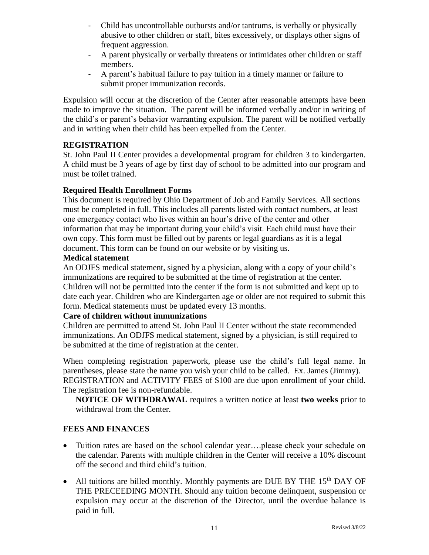- Child has uncontrollable outbursts and/or tantrums, is verbally or physically abusive to other children or staff, bites excessively, or displays other signs of frequent aggression.
- A parent physically or verbally threatens or intimidates other children or staff members.
- A parent's habitual failure to pay tuition in a timely manner or failure to submit proper immunization records.

Expulsion will occur at the discretion of the Center after reasonable attempts have been made to improve the situation. The parent will be informed verbally and/or in writing of the child's or parent's behavior warranting expulsion. The parent will be notified verbally and in writing when their child has been expelled from the Center.

#### **REGISTRATION**

St. John Paul II Center provides a developmental program for children 3 to kindergarten. A child must be 3 years of age by first day of school to be admitted into our program and must be toilet trained.

#### **Required Health Enrollment Forms**

This document is required by Ohio Department of Job and Family Services. All sections must be completed in full. This includes all parents listed with contact numbers, at least one emergency contact who lives within an hour's drive of the center and other information that may be important during your child's visit. Each child must have their own copy. This form must be filled out by parents or legal guardians as it is a legal document. This form can be found on our website or by visiting us.

#### **Medical statement**

An ODJFS medical statement, signed by a physician, along with a copy of your child's immunizations are required to be submitted at the time of registration at the center. Children will not be permitted into the center if the form is not submitted and kept up to date each year. Children who are Kindergarten age or older are not required to submit this form. Medical statements must be updated every 13 months.

#### **Care of children without immunizations**

Children are permitted to attend St. John Paul II Center without the state recommended immunizations. An ODJFS medical statement, signed by a physician, is still required to be submitted at the time of registration at the center.

When completing registration paperwork, please use the child's full legal name. In parentheses, please state the name you wish your child to be called. Ex. James (Jimmy). REGISTRATION and ACTIVITY FEES of \$100 are due upon enrollment of your child. The registration fee is non-refundable.

**NOTICE OF WITHDRAWAL** requires a written notice at least **two weeks** prior to withdrawal from the Center.

#### **FEES AND FINANCES**

- Tuition rates are based on the school calendar year.... please check your schedule on the calendar. Parents with multiple children in the Center will receive a 10% discount off the second and third child's tuition.
- All tuitions are billed monthly. Monthly payments are DUE BY THE 15<sup>th</sup> DAY OF THE PRECEEDING MONTH. Should any tuition become delinquent, suspension or expulsion may occur at the discretion of the Director, until the overdue balance is paid in full.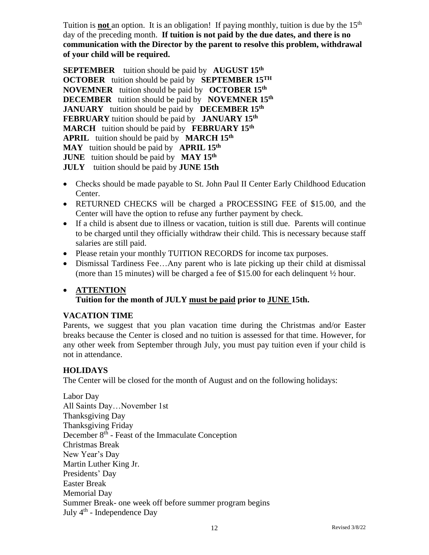Tuition is **not** an option. It is an obligation! If paying monthly, tuition is due by the 15<sup>th</sup> day of the preceding month. **If tuition is not paid by the due dates, and there is no communication with the Director by the parent to resolve this problem, withdrawal of your child will be required.**

**SEPTEMBER** tuition should be paid by **AUGUST 15th OCTOBER** tuition should be paid by **SEPTEMBER 15TH NOVEMNER** tuition should be paid by **OCTOBER 15th DECEMBER** tuition should be paid by **NOVEMNER 15th JANUARY** tuition should be paid by **DECEMBER 15th FEBRUARY** tuition should be paid by **JANUARY 15th MARCH** tuition should be paid by **FEBRUARY 15th APRIL** tuition should be paid by **MARCH 15th MAY** tuition should be paid by **APRIL 15th JUNE** tuition should be paid by **MAY 15th JULY** tuition should be paid by **JUNE 15th** 

- Checks should be made payable to St. John Paul II Center Early Childhood Education Center.
- RETURNED CHECKS will be charged a PROCESSING FEE of \$15.00, and the Center will have the option to refuse any further payment by check.
- If a child is absent due to illness or vacation, tuition is still due. Parents will continue to be charged until they officially withdraw their child. This is necessary because staff salaries are still paid.
- Please retain your monthly TUITION RECORDS for income tax purposes.
- Dismissal Tardiness Fee...Any parent who is late picking up their child at dismissal (more than 15 minutes) will be charged a fee of \$15.00 for each delinquent ½ hour.

#### • **ATTENTION Tuition for the month of JULY must be paid prior to JUNE 15th.**

#### **VACATION TIME**

Parents, we suggest that you plan vacation time during the Christmas and/or Easter breaks because the Center is closed and no tuition is assessed for that time. However, for any other week from September through July, you must pay tuition even if your child is not in attendance.

#### **HOLIDAYS**

The Center will be closed for the month of August and on the following holidays:

Labor Day All Saints Day…November 1st Thanksgiving Day Thanksgiving Friday December 8<sup>th</sup> - Feast of the Immaculate Conception Christmas Break New Year's Day Martin Luther King Jr. Presidents' Day Easter Break Memorial Day Summer Break- one week off before summer program begins July 4<sup>th</sup> - Independence Day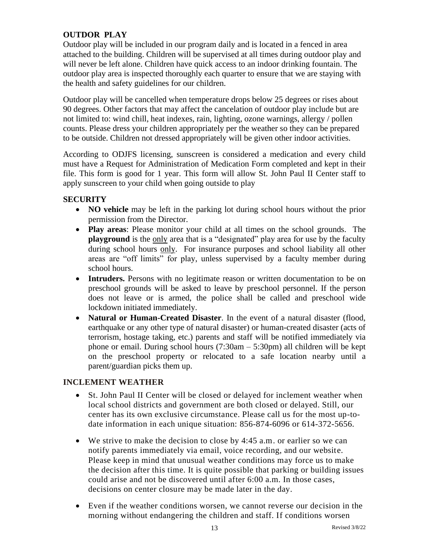#### **OUTDOR PLAY**

Outdoor play will be included in our program daily and is located in a fenced in area attached to the building. Children will be supervised at all times during outdoor play and will never be left alone. Children have quick access to an indoor drinking fountain. The outdoor play area is inspected thoroughly each quarter to ensure that we are staying with the health and safety guidelines for our children.

Outdoor play will be cancelled when temperature drops below 25 degrees or rises about 90 degrees. Other factors that may affect the cancelation of outdoor play include but are not limited to: wind chill, heat indexes, rain, lighting, ozone warnings, allergy / pollen counts. Please dress your children appropriately per the weather so they can be prepared to be outside. Children not dressed appropriately will be given other indoor activities.

According to ODJFS licensing, sunscreen is considered a medication and every child must have a Request for Administration of Medication Form completed and kept in their file. This form is good for 1 year. This form will allow St. John Paul II Center staff to apply sunscreen to your child when going outside to play

#### **SECURITY**

- **NO vehicle** may be left in the parking lot during school hours without the prior permission from the Director.
- **Play areas**: Please monitor your child at all times on the school grounds. The **playground** is the only area that is a "designated" play area for use by the faculty during school hours only. For insurance purposes and school liability all other areas are "off limits" for play, unless supervised by a faculty member during school hours.
- **Intruders.** Persons with no legitimate reason or written documentation to be on preschool grounds will be asked to leave by preschool personnel. If the person does not leave or is armed, the police shall be called and preschool wide lockdown initiated immediately.
- **Natural or Human-Created Disaster**. In the event of a natural disaster (flood, earthquake or any other type of natural disaster) or human-created disaster (acts of terrorism, hostage taking, etc.) parents and staff will be notified immediately via phone or email. During school hours (7:30am – 5:30pm) all children will be kept on the preschool property or relocated to a safe location nearby until a parent/guardian picks them up.

#### **INCLEMENT WEATHER**

- St. John Paul II Center will be closed or delayed for inclement weather when local school districts and government are both closed or delayed. Still, our center has its own exclusive circumstance. Please call us for the most up-todate information in each unique situation: 856-874-6096 or 614-372-5656.
- We strive to make the decision to close by 4:45 a.m. or earlier so we can notify parents immediately via email, voice recording, and our website. Please keep in mind that unusual weather conditions may force us to make the decision after this time. It is quite possible that parking or building issues could arise and not be discovered until after 6:00 a.m. In those cases, decisions on center closure may be made later in the day.
- Even if the weather conditions worsen, we cannot reverse our decision in the morning without endangering the children and staff. If conditions worsen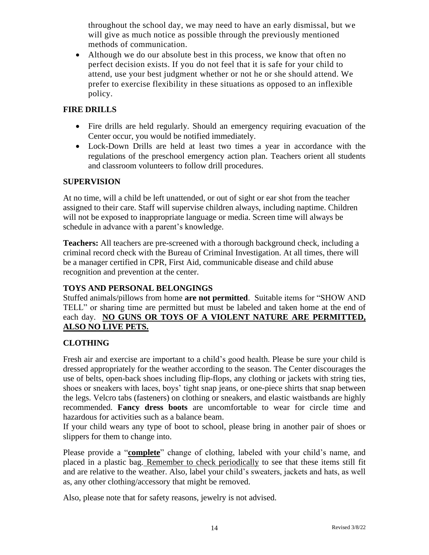throughout the school day, we may need to have an early dismissal, but we will give as much notice as possible through the previously mentioned methods of communication.

• Although we do our absolute best in this process, we know that often no perfect decision exists. If you do not feel that it is safe for your child to attend, use your best judgment whether or not he or she should attend. We prefer to exercise flexibility in these situations as opposed to an inflexible policy.

#### **FIRE DRILLS**

- Fire drills are held regularly. Should an emergency requiring evacuation of the Center occur, you would be notified immediately.
- Lock-Down Drills are held at least two times a year in accordance with the regulations of the preschool emergency action plan. Teachers orient all students and classroom volunteers to follow drill procedures.

#### **SUPERVISION**

At no time, will a child be left unattended, or out of sight or ear shot from the teacher assigned to their care. Staff will supervise children always, including naptime. Children will not be exposed to inappropriate language or media. Screen time will always be schedule in advance with a parent's knowledge.

**Teachers:** All teachers are pre-screened with a thorough background check, including a criminal record check with the Bureau of Criminal Investigation. At all times, there will be a manager certified in CPR, First Aid, communicable disease and child abuse recognition and prevention at the center.

#### **TOYS AND PERSONAL BELONGINGS**

Stuffed animals/pillows from home **are not permitted**. Suitable items for "SHOW AND TELL" or sharing time are permitted but must be labeled and taken home at the end of each day. **NO GUNS OR TOYS OF A VIOLENT NATURE ARE PERMITTED, ALSO NO LIVE PETS.**

#### **CLOTHING**

Fresh air and exercise are important to a child's good health. Please be sure your child is dressed appropriately for the weather according to the season. The Center discourages the use of belts, open-back shoes including flip-flops, any clothing or jackets with string ties, shoes or sneakers with laces, boys' tight snap jeans, or one-piece shirts that snap between the legs. Velcro tabs (fasteners) on clothing or sneakers, and elastic waistbands are highly recommended. **Fancy dress boots** are uncomfortable to wear for circle time and hazardous for activities such as a balance beam.

If your child wears any type of boot to school, please bring in another pair of shoes or slippers for them to change into.

Please provide a "**complete**" change of clothing, labeled with your child's name, and placed in a plastic bag. Remember to check periodically to see that these items still fit and are relative to the weather. Also, label your child's sweaters, jackets and hats, as well as, any other clothing/accessory that might be removed.

Also, please note that for safety reasons, jewelry is not advised.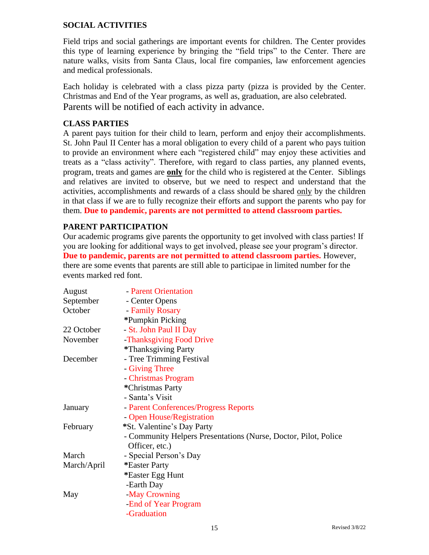#### **SOCIAL ACTIVITIES**

Field trips and social gatherings are important events for children. The Center provides this type of learning experience by bringing the "field trips" to the Center. There are nature walks, visits from Santa Claus, local fire companies, law enforcement agencies and medical professionals.

Each holiday is celebrated with a class pizza party (pizza is provided by the Center. Christmas and End of the Year programs, as well as, graduation, are also celebrated. Parents will be notified of each activity in advance.

#### **CLASS PARTIES**

A parent pays tuition for their child to learn, perform and enjoy their accomplishments. St. John Paul II Center has a moral obligation to every child of a parent who pays tuition to provide an environment where each "registered child" may enjoy these activities and treats as a "class activity". Therefore, with regard to class parties, any planned events, program, treats and games are **only** for the child who is registered at the Center. Siblings and relatives are invited to observe, but we need to respect and understand that the activities, accomplishments and rewards of a class should be shared only by the children in that class if we are to fully recognize their efforts and support the parents who pay for them. **Due to pandemic, parents are not permitted to attend classroom parties.**

#### **PARENT PARTICIPATION**

Our academic programs give parents the opportunity to get involved with class parties! If you are looking for additional ways to get involved, please see your program's director. **Due to pandemic, parents are not permitted to attend classroom parties.** However, there are some events that parents are still able to participae in limited number for the events marked red font.

| August      | - Parent Orientation                                            |
|-------------|-----------------------------------------------------------------|
| September   | - Center Opens                                                  |
| October     | - Family Rosary                                                 |
|             | *Pumpkin Picking                                                |
| 22 October  | - St. John Paul II Day                                          |
| November    | -Thanksgiving Food Drive                                        |
|             | *Thanksgiving Party                                             |
| December    | - Tree Trimming Festival                                        |
|             | - Giving Three                                                  |
|             | - Christmas Program                                             |
|             | *Christmas Party                                                |
|             | - Santa's Visit                                                 |
| January     | - Parent Conferences/Progress Reports                           |
|             | - Open House/Registration                                       |
| February    | *St. Valentine's Day Party                                      |
|             | - Community Helpers Presentations (Nurse, Doctor, Pilot, Police |
|             | Officer, etc.)                                                  |
| March       | - Special Person's Day                                          |
| March/April | *Easter Party                                                   |
|             | *Easter Egg Hunt                                                |
|             | -Earth Day                                                      |
| May         | -May Crowning                                                   |
|             | -End of Year Program                                            |
|             | -Graduation                                                     |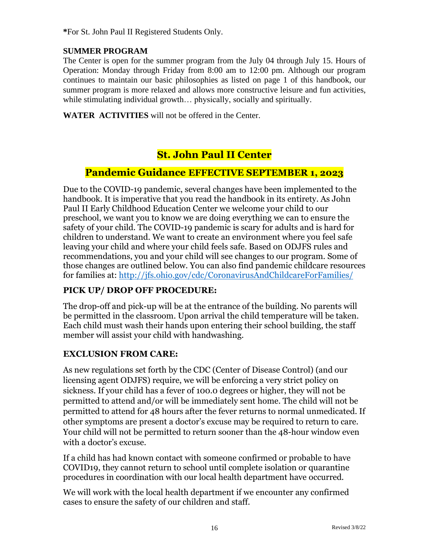**\***For St. John Paul II Registered Students Only.

#### **SUMMER PROGRAM**

The Center is open for the summer program from the July 04 through July 15. Hours of Operation: Monday through Friday from 8:00 am to 12:00 pm. Although our program continues to maintain our basic philosophies as listed on page 1 of this handbook, our summer program is more relaxed and allows more constructive leisure and fun activities, while stimulating individual growth... physically, socially and spiritually.

**WATER ACTIVITIES** will not be offered in the Center.

## **St. John Paul II Center**

### **Pandemic Guidance EFFECTIVE SEPTEMBER 1, 2023**

Due to the COVID-19 pandemic, several changes have been implemented to the handbook. It is imperative that you read the handbook in its entirety. As John Paul II Early Childhood Education Center we welcome your child to our preschool, we want you to know we are doing everything we can to ensure the safety of your child. The COVID-19 pandemic is scary for adults and is hard for children to understand. We want to create an environment where you feel safe leaving your child and where your child feels safe. Based on ODJFS rules and recommendations, you and your child will see changes to our program. Some of those changes are outlined below. You can also find pandemic childcare resources for families at:<http://jfs.ohio.gov/cdc/CoronavirusAndChildcareForFamilies/>

#### **PICK UP/ DROP OFF PROCEDURE:**

The drop-off and pick-up will be at the entrance of the building. No parents will be permitted in the classroom. Upon arrival the child temperature will be taken. Each child must wash their hands upon entering their school building, the staff member will assist your child with handwashing.

#### **EXCLUSION FROM CARE:**

As new regulations set forth by the CDC (Center of Disease Control) (and our licensing agent ODJFS) require, we will be enforcing a very strict policy on sickness. If your child has a fever of 100.0 degrees or higher, they will not be permitted to attend and/or will be immediately sent home. The child will not be permitted to attend for 48 hours after the fever returns to normal unmedicated. If other symptoms are present a doctor's excuse may be required to return to care. Your child will not be permitted to return sooner than the 48-hour window even with a doctor's excuse.

If a child has had known contact with someone confirmed or probable to have COVID19, they cannot return to school until complete isolation or quarantine procedures in coordination with our local health department have occurred.

We will work with the local health department if we encounter any confirmed cases to ensure the safety of our children and staff.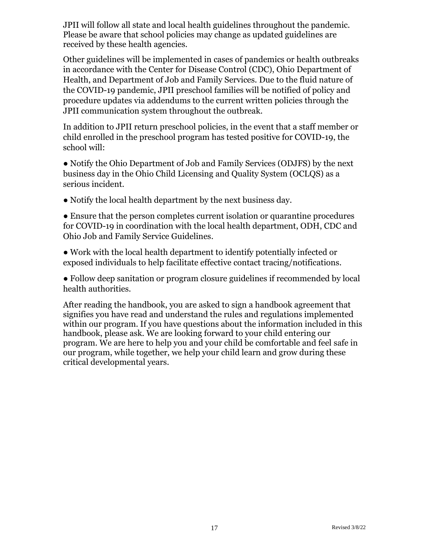JPII will follow all state and local health guidelines throughout the pandemic. Please be aware that school policies may change as updated guidelines are received by these health agencies.

Other guidelines will be implemented in cases of pandemics or health outbreaks in accordance with the Center for Disease Control (CDC), Ohio Department of Health, and Department of Job and Family Services. Due to the fluid nature of the COVID-19 pandemic, JPII preschool families will be notified of policy and procedure updates via addendums to the current written policies through the JPII communication system throughout the outbreak.

In addition to JPII return preschool policies, in the event that a staff member or child enrolled in the preschool program has tested positive for COVID-19, the school will:

● Notify the Ohio Department of Job and Family Services (ODJFS) by the next business day in the Ohio Child Licensing and Quality System (OCLQS) as a serious incident.

• Notify the local health department by the next business day.

● Ensure that the person completes current isolation or quarantine procedures for COVID-19 in coordination with the local health department, ODH, CDC and Ohio Job and Family Service Guidelines.

● Work with the local health department to identify potentially infected or exposed individuals to help facilitate effective contact tracing/notifications.

● Follow deep sanitation or program closure guidelines if recommended by local health authorities.

After reading the handbook, you are asked to sign a handbook agreement that signifies you have read and understand the rules and regulations implemented within our program. If you have questions about the information included in this handbook, please ask. We are looking forward to your child entering our program. We are here to help you and your child be comfortable and feel safe in our program, while together, we help your child learn and grow during these critical developmental years.